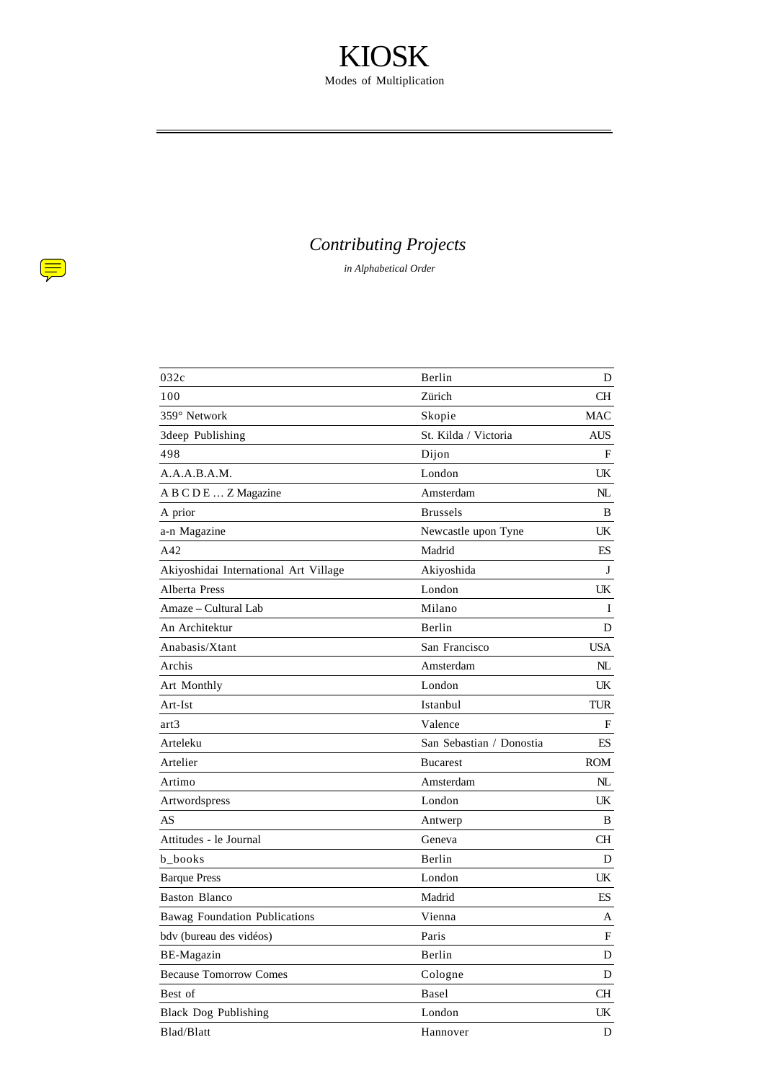### *Contributing Projects*

*in Alphabetical Order*

 $\left(\frac{1}{\sqrt{2}}\right)$ 

| 032c                                  | Berlin                   | D          |
|---------------------------------------|--------------------------|------------|
| 100                                   | Zürich                   | CН         |
| 359° Network                          | Skopie                   | MAC        |
| 3deep Publishing                      | St. Kilda / Victoria     | AUS.       |
| 498                                   | Dijon                    | F          |
| A.A.A.B.A.M.                          | London                   | UK         |
| A B C D E  Z Magazine                 | Amsterdam                | NL         |
| A prior                               | <b>Brussels</b>          | B          |
| a-n Magazine                          | Newcastle upon Tyne      | UK         |
| A42                                   | Madrid                   | ES         |
| Akiyoshidai International Art Village | Akiyoshida               | J          |
| Alberta Press                         | London                   | UK         |
| Amaze – Cultural Lab                  | Milano                   | Ι          |
| An Architektur                        | Berlin                   | D          |
| Anabasis/Xtant                        | San Francisco            | <b>USA</b> |
| Archis                                | Amsterdam                | NL         |
| Art Monthly                           | London                   | UK.        |
| Art-Ist                               | Istanbul                 | TUR        |
| art3                                  | Valence                  | F          |
| Arteleku                              | San Sebastian / Donostia | ES         |
| Artelier                              | <b>Bucarest</b>          | ROM        |
| Artimo                                | Amsterdam                | NL         |
| Artwordspress                         | London                   | UK         |
| AS                                    | Antwerp                  | B          |
| Attitudes - le Journal                | Geneva                   | CН         |
| b_books                               | Berlin                   | D          |
| <b>Barque Press</b>                   | London                   | UK         |
| Baston Blanco                         | Madrid                   | ES         |
| <b>Bawag Foundation Publications</b>  | Vienna                   | А          |
| bdv (bureau des vidéos)               | Paris                    | F          |
| BE-Magazin                            | Berlin                   | D          |
| <b>Because Tomorrow Comes</b>         | Cologne                  | D          |
| Best of                               | Basel                    | СH         |
| <b>Black Dog Publishing</b>           | London                   | UK         |
| Blad/Blatt                            | Hannover                 | D          |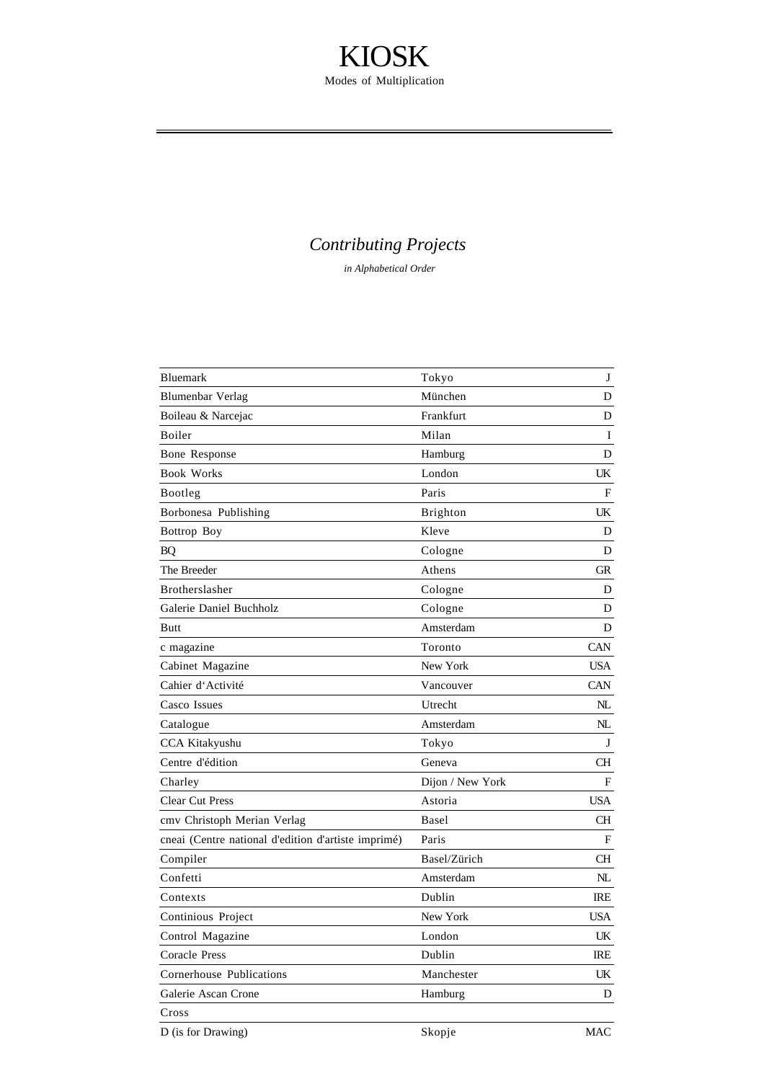### *Contributing Projects*

| Bluemark                                            | Tokyo            | J          |
|-----------------------------------------------------|------------------|------------|
| <b>Blumenbar Verlag</b>                             | München          | D          |
| Boileau & Narcejac                                  | Frankfurt        | D          |
| Boiler                                              | Milan            | I          |
| Bone Response                                       | Hamburg          | D          |
| <b>Book Works</b>                                   | London           | UK         |
| Bootleg                                             | Paris            | F          |
| Borbonesa Publishing                                | <b>Brighton</b>  | UK         |
| Bottrop Boy                                         | Kleve            | D          |
| BQ                                                  | Cologne          | D          |
| The Breeder                                         | Athens           | <b>GR</b>  |
| Brotherslasher                                      | Cologne          | D          |
| Galerie Daniel Buchholz                             | Cologne          | D          |
| Butt                                                | Amsterdam        | D          |
| c magazine                                          | Toronto          | CAN        |
| Cabinet Magazine                                    | New York         | <b>USA</b> |
| Cahier d'Activité                                   | Vancouver        | <b>CAN</b> |
| Casco Issues                                        | Utrecht          | $N\!L$     |
| Catalogue                                           | Amsterdam        | NL         |
| CCA Kitakyushu                                      | Tokyo            | J          |
| Centre d'édition                                    | Geneva           | СH         |
| Charley                                             | Dijon / New York | F          |
| <b>Clear Cut Press</b>                              | Astoria          | <b>USA</b> |
| cmy Christoph Merian Verlag                         | Basel            | <b>CH</b>  |
| cneai (Centre national d'edition d'artiste imprimé) | Paris            | F          |
| Compiler                                            | Basel/Zürich     | <b>CH</b>  |
| Confetti                                            | Amsterdam        | NL         |
| Contexts                                            | Dublin           | IRE        |
| Continious Project                                  | New York         | <b>USA</b> |
| Control Magazine                                    | London           | UK         |
| <b>Coracle Press</b>                                | Dublin           | IRE        |
| Cornerhouse Publications                            | Manchester       | UK         |
| Galerie Ascan Crone                                 | Hamburg          | D          |
| Cross                                               |                  |            |
| D (is for Drawing)                                  | Skopje           | <b>MAC</b> |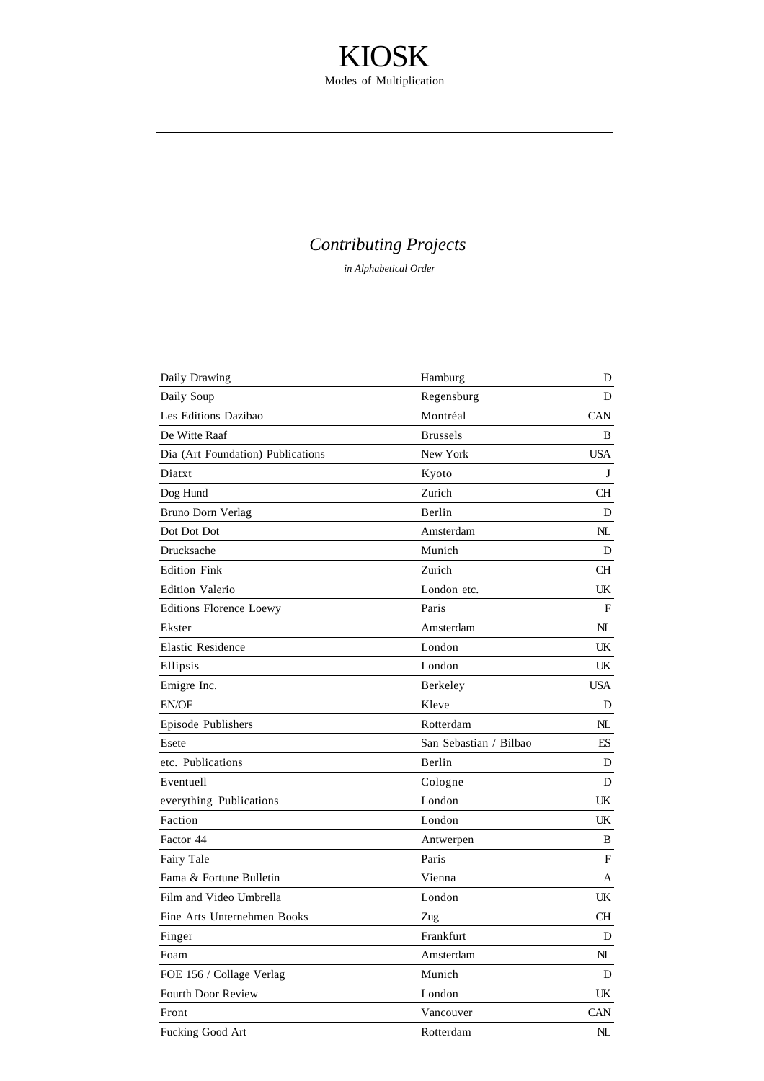### *Contributing Projects*

| Daily Drawing                     | Hamburg                | D           |
|-----------------------------------|------------------------|-------------|
| Daily Soup                        | Regensburg             | D           |
| Les Editions Dazibao              | Montréal               | <b>CAN</b>  |
| De Witte Raaf                     | <b>Brussels</b>        | B           |
| Dia (Art Foundation) Publications | New York               | <b>USA</b>  |
| Diatxt                            | Kyoto                  | J           |
| Dog Hund                          | Zurich                 | СH          |
| Bruno Dorn Verlag                 | Berlin                 | D           |
| Dot Dot Dot                       | Amsterdam              | NL          |
| Drucksache                        | Munich                 | D           |
| <b>Edition Fink</b>               | Zurich                 | CН          |
| <b>Edition Valerio</b>            | London etc.            | UK          |
| Editions Florence Loewy           | Paris                  | F           |
| Ekster                            | Amsterdam              | $N\!L$      |
| <b>Elastic Residence</b>          | London                 | UK          |
| Ellipsis                          | London                 | UK          |
| Emigre Inc.                       | Berkeley               | <b>USA</b>  |
| EN/OF                             | Kleve                  | D           |
| Episode Publishers                | Rotterdam              | NL          |
| Esete                             | San Sebastian / Bilbao | ES          |
| etc. Publications                 | Berlin                 | D           |
| Eventuell                         | Cologne                | D           |
| everything Publications           | London                 | UK          |
| Faction                           | London                 | UK          |
| Factor 44                         | Antwerpen              | B           |
| Fairy Tale                        | Paris                  | F           |
| Fama & Fortune Bulletin           | Vienna                 | Α           |
| Film and Video Umbrella           | London                 | UK          |
| Fine Arts Unternehmen Books       | Zug                    | CН          |
| Finger                            | Frankfurt              | D           |
| Foam                              | Amsterdam              | NL          |
| FOE 156 / Collage Verlag          | Munich                 | D           |
| Fourth Door Review                | London                 | UK          |
| Front                             | Vancouver              | <b>CAN</b>  |
| Fucking Good Art                  | Rotterdam              | $N_{\rm L}$ |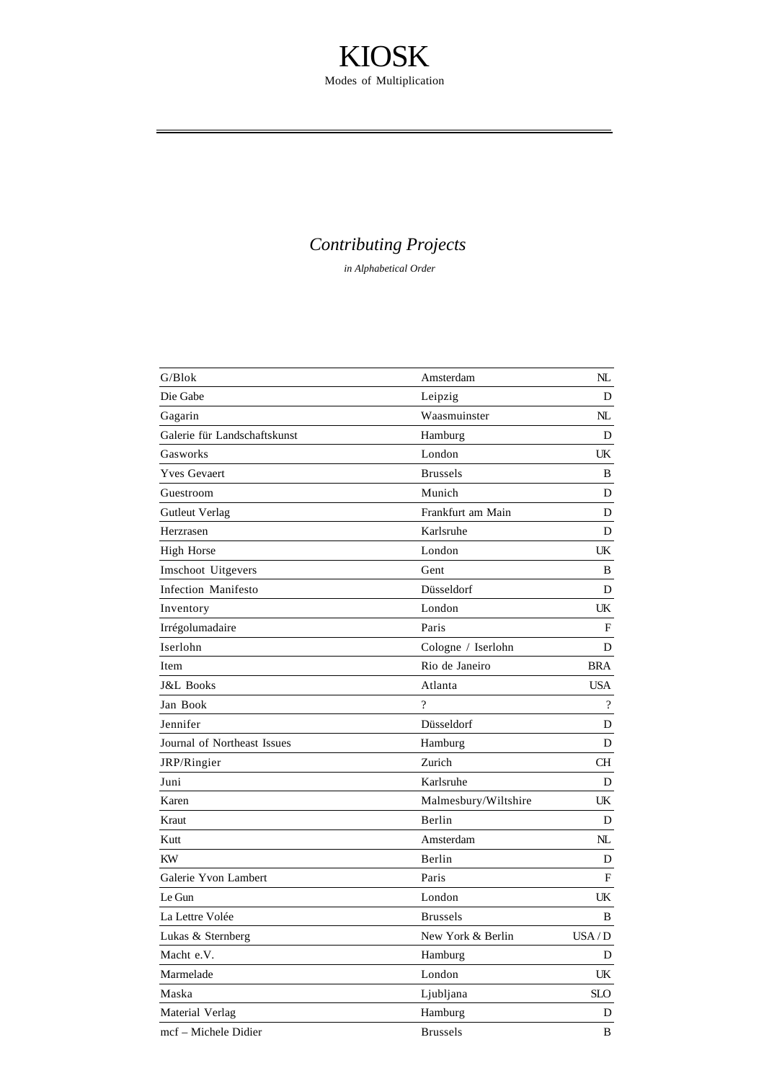### *Contributing Projects*

| G/Blok                       | Amsterdam                    | NL                       |
|------------------------------|------------------------------|--------------------------|
| Die Gabe                     | Leipzig                      | D                        |
| Gagarin                      | Waasmuinster                 | NL                       |
| Galerie für Landschaftskunst | Hamburg                      | D                        |
| Gasworks                     | London                       | UK                       |
| <b>Yves Gevaert</b>          | <b>Brussels</b>              | B                        |
| Guestroom                    | Munich                       | D                        |
| <b>Gutleut Verlag</b>        | Frankfurt am Main            | D                        |
| Herzrasen                    | Karlsruhe                    | D                        |
| High Horse                   | London                       | UK                       |
| Imschoot Uitgevers           | Gent                         | B                        |
| Infection Manifesto          | Düsseldorf                   | D                        |
| Inventory                    | London                       | UK                       |
| Irrégolumadaire              | Paris                        | F                        |
| Iserlohn                     | Cologne / Iserlohn           | D                        |
| Item                         | Rio de Janeiro               | <b>BRA</b>               |
| J&L Books                    | Atlanta                      | USA.                     |
| Jan Book                     | $\gamma$                     | $\overline{\mathcal{L}}$ |
| Jennifer                     | Düsseldorf                   | D                        |
| Journal of Northeast Issues  | Hamburg                      | D                        |
| JRP/Ringier                  | Zurich                       | CН                       |
| Juni                         | Karlsruhe                    | D                        |
| Karen                        | Malmesbury/Wiltshire         | UK                       |
| Kraut                        | Berlin                       | D                        |
| Kutt                         | Amsterdam                    | NL                       |
| KW                           | Berlin                       | D                        |
| Galerie Yvon Lambert         | Paris                        | $\mathbf F$              |
| Le Gun                       | London                       | UK                       |
| La Lettre Volée              | <b>Brussels</b>              | B                        |
| Lukas & Sternberg            | New York & Berlin            | USA/D                    |
| Macht e.V.                   | Hamburg                      | D                        |
| Marmelade                    | $\mathop{\hbox{\rm London}}$ | UK                       |
| Maska                        | Ljubljana                    | <b>SLO</b>               |
| Material Verlag              | Hamburg                      | D                        |
| mcf - Michele Didier         | <b>Brussels</b>              | B                        |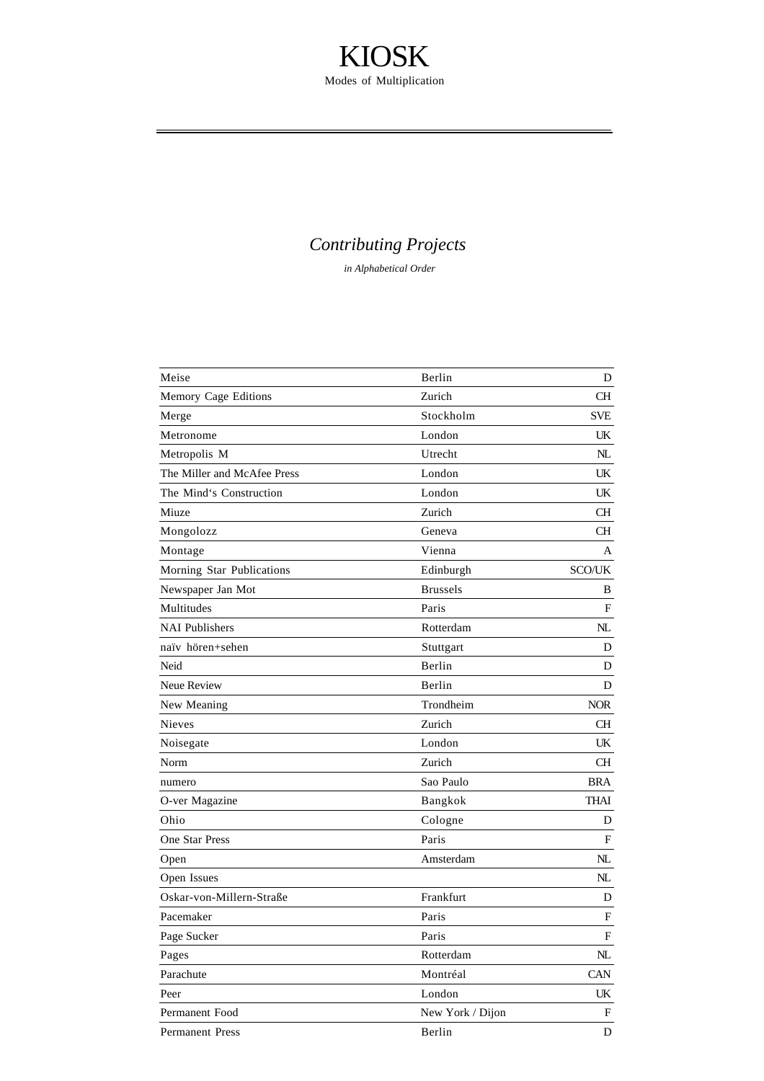### *Contributing Projects*

| Meise                       | Berlin           | D             |
|-----------------------------|------------------|---------------|
| Memory Cage Editions        | Zurich           | CН            |
| Merge                       | Stockholm        | SVE           |
| Metronome                   | London           | UK            |
| Metropolis M                | Utrecht          | NL.           |
| The Miller and McAfee Press | London           | UK            |
| The Mind's Construction     | London           | UK            |
| Miuze                       | Zurich           | CН            |
| Mongolozz                   | Geneva           | CН            |
| Montage                     | Vienna           | A             |
| Morning Star Publications   | Edinburgh        | <b>SCO/UK</b> |
| Newspaper Jan Mot           | <b>Brussels</b>  | B             |
| Multitudes                  | Paris            | F             |
| <b>NAI Publishers</b>       | Rotterdam        | NL            |
| naïv hören+sehen            | Stuttgart        | D             |
| Neid                        | Berlin           | D             |
| Neue Review                 | Berlin           | D             |
| New Meaning                 | Trondheim        | <b>NOR</b>    |
| <b>Nieves</b>               | Zurich           | CН            |
| Noisegate                   | London           | UK            |
| Norm                        | Zurich           | CН            |
| numero                      | Sao Paulo        | <b>BRA</b>    |
| O-ver Magazine              | Bangkok          | THAI          |
| Ohio                        | Cologne          | D             |
| <b>One Star Press</b>       | Paris            | F             |
| Open                        | Amsterdam        | NL            |
| Open Issues                 |                  | NL            |
| Oskar-von-Millern-Straße    | Frankfurt        | D             |
| Pacemaker                   | Paris            | F             |
| Page Sucker                 | Paris            | F             |
| Pages                       | Rotterdam        | $N\!L$        |
| Parachute                   | Montréal         | CAN           |
| Peer                        | London           | UK            |
| Permanent Food              | New York / Dijon | F             |
| <b>Permanent Press</b>      | Berlin           | D             |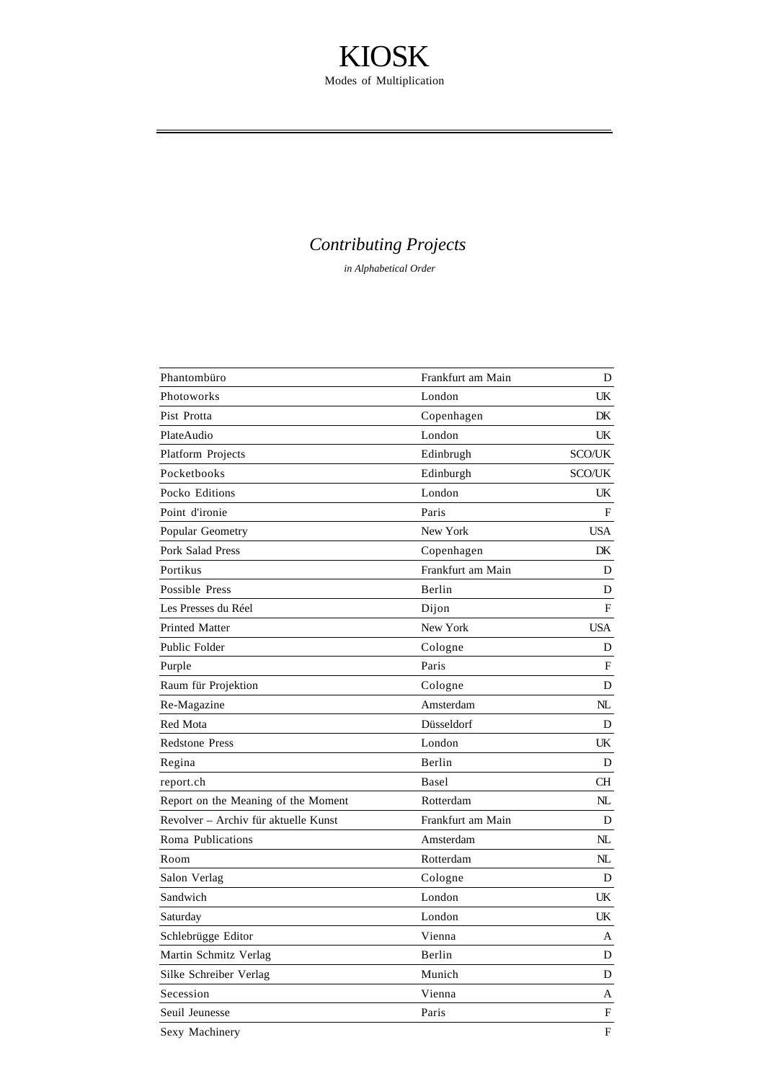### *Contributing Projects*

| Phantombüro                          | Frankfurt am Main | D             |
|--------------------------------------|-------------------|---------------|
| Photoworks                           | London            | UK            |
| Pist Protta                          | Copenhagen        | DK            |
| PlateAudio                           | London            | UK            |
| Platform Projects                    | Edinbrugh         | <b>SCO/UK</b> |
| Pocketbooks                          | Edinburgh         | <b>SCO/UK</b> |
| Pocko Editions                       | London            | UK            |
| Point d'ironie                       | Paris             | F             |
| Popular Geometry                     | New York          | USA           |
| Pork Salad Press                     | Copenhagen        | DK            |
| Portikus                             | Frankfurt am Main | D             |
| Possible Press                       | Berlin            | D             |
| Les Presses du Réel                  | Dijon             | F             |
| Printed Matter                       | New York          | <b>USA</b>    |
| Public Folder                        | Cologne           | D             |
| Purple                               | Paris             | F             |
| Raum für Projektion                  | Cologne           | D             |
| Re-Magazine                          | Amsterdam         | NL            |
| Red Mota                             | Düsseldorf        | D             |
| <b>Redstone Press</b>                | London            | UK            |
| Regina                               | Berlin            | D             |
| report.ch                            | Basel             | CН            |
| Report on the Meaning of the Moment  | Rotterdam         | NL            |
| Revolver - Archiv für aktuelle Kunst | Frankfurt am Main | D             |
| Roma Publications                    | Amsterdam         | NL            |
| Room                                 | Rotterdam         | NL            |
| Salon Verlag                         | Cologne           | D             |
| Sandwich                             | London            | UK            |
| Saturday                             | London            | UK            |
| Schlebrügge Editor                   | Vienna            | А             |
| Martin Schmitz Verlag                | Berlin            | D             |
| Silke Schreiber Verlag               | Munich            | D             |
| Secession                            | Vienna            | A             |
| Seuil Jeunesse                       | Paris             | F             |
| Sexy Machinery                       |                   | F             |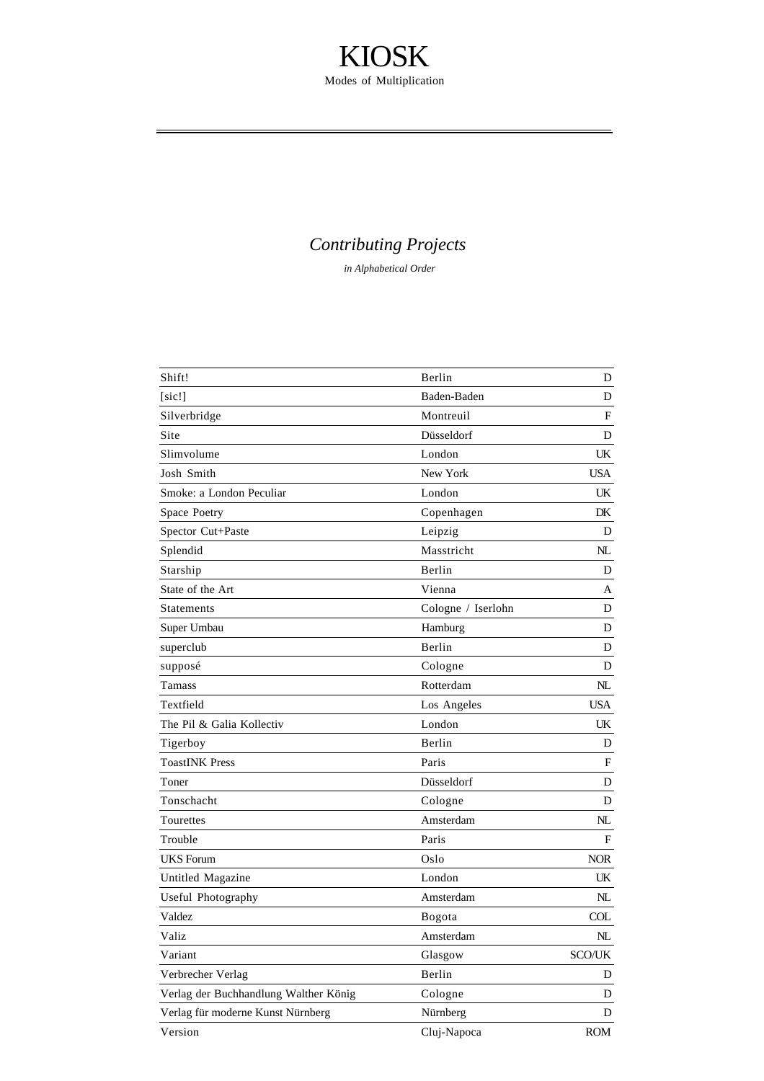### *Contributing Projects*

| Shift!                                | Berlin             | D           |
|---------------------------------------|--------------------|-------------|
| [sic!]                                | Baden-Baden        | D           |
| Silverbridge                          | Montreuil          | F           |
| Site                                  | Düsseldorf         | D           |
| Slimvolume                            | London             | UK.         |
| Josh Smith                            | New York           | <b>USA</b>  |
| Smoke: a London Peculiar              | London             | UK.         |
| Space Poetry                          | Copenhagen         | DK          |
| Spector Cut+Paste                     | Leipzig            | D           |
| Splendid                              | Masstricht         | NL          |
| Starship                              | Berlin             | D           |
| State of the Art                      | Vienna             | А           |
| Statements                            | Cologne / Iserlohn | D           |
| Super Umbau                           | Hamburg            | D           |
| superclub                             | Berlin             | D           |
| supposé                               | Cologne            | D           |
| Tamass                                | Rotterdam          | NL          |
| Textfield                             | Los Angeles        | <b>USA</b>  |
| The Pil & Galia Kollectiv             | London             | UK.         |
| Tigerboy                              | Berlin             | D           |
| <b>ToastINK Press</b>                 | Paris              | F           |
| Toner                                 | Düsseldorf         | D           |
| Tonschacht                            | Cologne            | D           |
| Tourettes                             | Amsterdam          | NL          |
| Trouble                               | Paris              | F           |
| <b>UKS</b> Forum                      | Oslo               | <b>NOR</b>  |
| Untitled Magazine                     | London             | UK.         |
| Useful Photography                    | Amsterdam          | NL          |
| Valdez                                | Bogota             | COL         |
| Valiz                                 | Amsterdam          | $N_{\rm L}$ |
| Variant                               | Glasgow            | SCO/UK      |
| Verbrecher Verlag                     | Berlin             | D           |
| Verlag der Buchhandlung Walther König | Cologne            | D           |
| Verlag für moderne Kunst Nürnberg     | Nürnberg           | D           |
| Version                               | Cluj-Napoca        | <b>ROM</b>  |